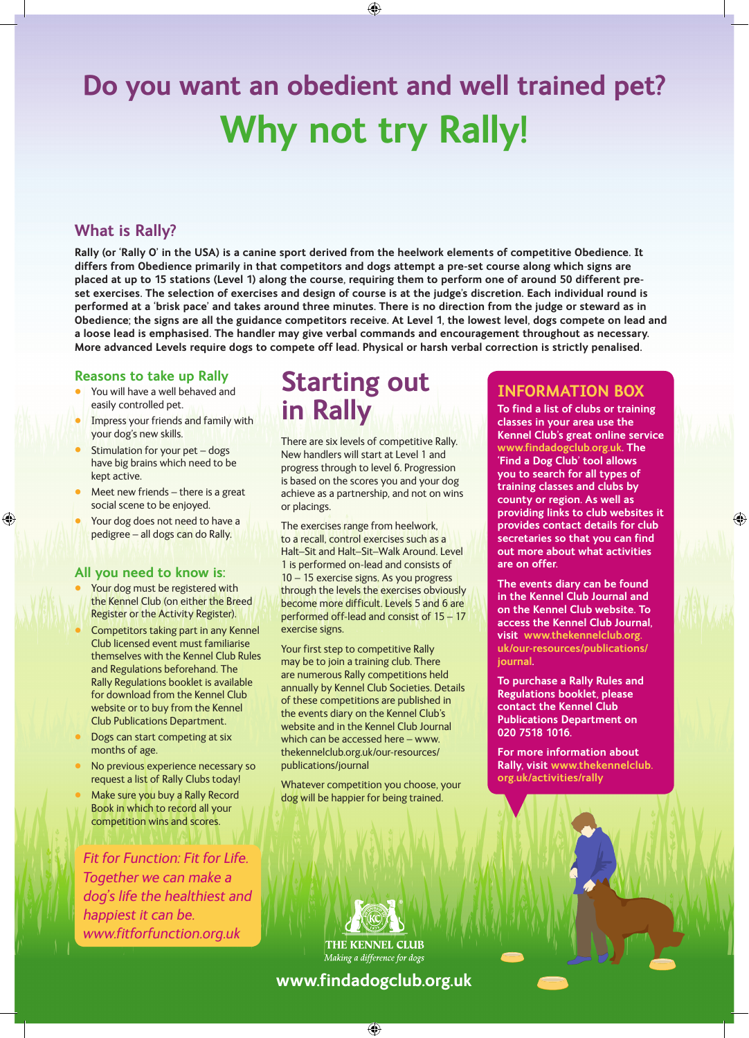# **Do you want an obedient and well trained pet? Why not try Rally!**

# **What is Rally?**

**Rally (or 'Rally O' in the USA) is a canine sport derived from the heelwork elements of competitive Obedience. It differs from Obedience primarily in that competitors and dogs attempt a pre-set course along which signs are placed at up to 15 stations (Level 1) along the course, requiring them to perform one of around 50 different preset exercises. The selection of exercises and design of course is at the judge's discretion. Each individual round is performed at a 'brisk pace' and takes around three minutes. There is no direction from the judge or steward as in Obedience; the signs are all the guidance competitors receive. At Level 1, the lowest level, dogs compete on lead and a loose lead is emphasised. The handler may give verbal commands and encouragement throughout as necessary. More advanced Levels require dogs to compete off lead. Physical or harsh verbal correction is strictly penalised.** 

#### **Reasons to take up Rally**

- You will have a well behaved and easily controlled pet.
- Impress your friends and family with your dog's new skills.
- Stimulation for your pet dogs have big brains which need to be kept active.
- Meet new friends there is a great social scene to be enjoyed.
- Your dog does not need to have a pedigree – all dogs can do Rally.

#### **All you need to know is:**

- Your dog must be registered with the Kennel Club (on either the Breed Register or the Activity Register).
- Competitors taking part in any Kennel Club licensed event must familiarise themselves with the Kennel Club Rules and Regulations beforehand. The Rally Regulations booklet is available for download from the Kennel Club website or to buy from the Kennel Club Publications Department.
- Dogs can start competing at six months of age.
- No previous experience necessary so request a list of Rally Clubs today!
- Make sure you buy a Rally Record Book in which to record all your competition wins and scores.

*Fit for Function: Fit for Life. Together we can make a dog's life the healthiest and happiest it can be. www.fitforfunction.org.uk*

# **Starting out in Rally**

There are six levels of competitive Rally. New handlers will start at Level 1 and progress through to level 6. Progression is based on the scores you and your dog achieve as a partnership, and not on wins or placings.

The exercises range from heelwork, to a recall, control exercises such as a Halt–Sit and Halt–Sit–Walk Around. Level 1 is performed on-lead and consists of 10 – 15 exercise signs. As you progress through the levels the exercises obviously become more difficult. Levels 5 and 6 are performed off-lead and consist of 15 – 17 exercise signs.

Your first step to competitive Rally may be to join a training club. There are numerous Rally competitions held annually by Kennel Club Societies. Details of these competitions are published in the events diary on the Kennel Club's website and in the Kennel Club Journal which can be accessed here – www. thekennelclub.org.uk/our-resources/ publications/journal

Whatever competition you choose, your dog will be happier for being trained.

# **INFORMATION BOX**

**To find a list of clubs or training classes in your area use the Kennel Club's great online service www.findadogclub.org.uk. The 'Find a Dog Club' tool allows you to search for all types of training classes and clubs by county or region. As well as providing links to club websites it provides contact details for club secretaries so that you can find out more about what activities are on offer.** 

**The events diary can be found in the Kennel Club Journal and on the Kennel Club website. To access the Kennel Club Journal, visit www.thekennelclub.org. uk/our-resources/publications/ journal.**

**To purchase a Rally Rules and Regulations booklet, please contact the Kennel Club Publications Department on 020 7518 1016.**

**For more information about Rally, visit www.thekennelclub. org.uk/activities/rally**

THE KENNEL CLUB Making a difference for dogs **www.findadogclub.org.uk**